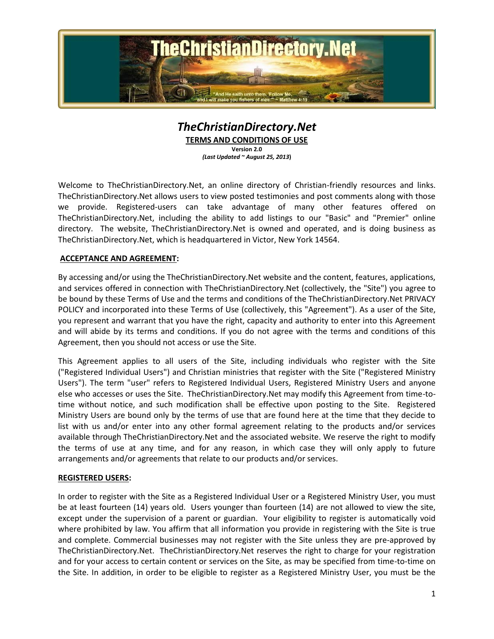

# *TheChristianDirectory.Net* **TERMS AND CONDITIONS OF USE**

**Version 2.0** *(Last Updated ~ August 25, 2013***)**

Welcome to TheChristianDirectory.Net, an online directory of Christian-friendly resources and links. TheChristianDirectory.Net allows users to view posted testimonies and post comments along with those we provide. Registered-users can take advantage of many other features offered on TheChristianDirectory.Net, including the ability to add listings to our "Basic" and "Premier" online directory. The website, TheChristianDirectory.Net is owned and operated, and is doing business as TheChristianDirectory.Net, which is headquartered in Victor, New York 14564.

## **ACCEPTANCE AND AGREEMENT:**

By accessing and/or using the TheChristianDirectory.Net website and the content, features, applications, and services offered in connection with TheChristianDirectory.Net (collectively, the "Site") you agree to be bound by these Terms of Use and the terms and conditions of the TheChristianDirectory.Net PRIVACY POLICY and incorporated into these Terms of Use (collectively, this "Agreement"). As a user of the Site, you represent and warrant that you have the right, capacity and authority to enter into this Agreement and will abide by its terms and conditions. If you do not agree with the terms and conditions of this Agreement, then you should not access or use the Site.

This Agreement applies to all users of the Site, including individuals who register with the Site ("Registered Individual Users") and Christian ministries that register with the Site ("Registered Ministry Users"). The term "user" refers to Registered Individual Users, Registered Ministry Users and anyone else who accesses or uses the Site. TheChristianDirectory.Net may modify this Agreement from time-totime without notice, and such modification shall be effective upon posting to the Site. Registered Ministry Users are bound only by the terms of use that are found here at the time that they decide to list with us and/or enter into any other formal agreement relating to the products and/or services available through TheChristianDirectory.Net and the associated website. We reserve the right to modify the terms of use at any time, and for any reason, in which case they will only apply to future arrangements and/or agreements that relate to our products and/or services.

### **REGISTERED USERS:**

In order to register with the Site as a Registered Individual User or a Registered Ministry User, you must be at least fourteen (14) years old. Users younger than fourteen (14) are not allowed to view the site, except under the supervision of a parent or guardian. Your eligibility to register is automatically void where prohibited by law. You affirm that all information you provide in registering with the Site is true and complete. Commercial businesses may not register with the Site unless they are pre-approved by TheChristianDirectory.Net. TheChristianDirectory.Net reserves the right to charge for your registration and for your access to certain content or services on the Site, as may be specified from time-to-time on the Site. In addition, in order to be eligible to register as a Registered Ministry User, you must be the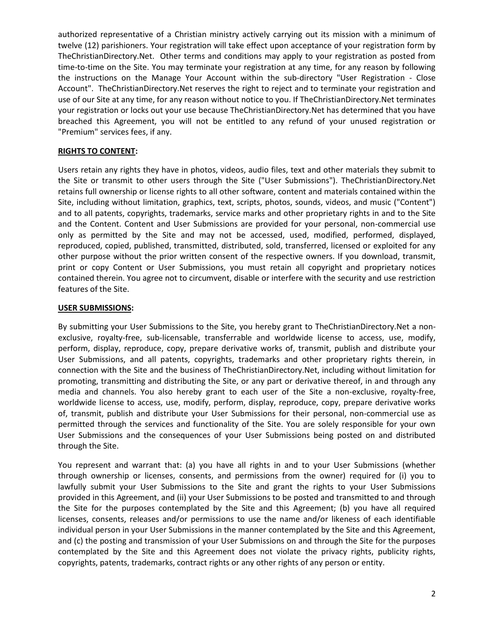authorized representative of a Christian ministry actively carrying out its mission with a minimum of twelve (12) parishioners. Your registration will take effect upon acceptance of your registration form by TheChristianDirectory.Net. Other terms and conditions may apply to your registration as posted from time-to-time on the Site. You may terminate your registration at any time, for any reason by following the instructions on the Manage Your Account within the sub-directory "User Registration - Close Account". TheChristianDirectory.Net reserves the right to reject and to terminate your registration and use of our Site at any time, for any reason without notice to you. If TheChristianDirectory.Net terminates your registration or locks out your use because TheChristianDirectory.Net has determined that you have breached this Agreement, you will not be entitled to any refund of your unused registration or "Premium" services fees, if any.

## **RIGHTS TO CONTENT:**

Users retain any rights they have in photos, videos, audio files, text and other materials they submit to the Site or transmit to other users through the Site ("User Submissions"). TheChristianDirectory.Net retains full ownership or license rights to all other software, content and materials contained within the Site, including without limitation, graphics, text, scripts, photos, sounds, videos, and music ("Content") and to all patents, copyrights, trademarks, service marks and other proprietary rights in and to the Site and the Content. Content and User Submissions are provided for your personal, non-commercial use only as permitted by the Site and may not be accessed, used, modified, performed, displayed, reproduced, copied, published, transmitted, distributed, sold, transferred, licensed or exploited for any other purpose without the prior written consent of the respective owners. If you download, transmit, print or copy Content or User Submissions, you must retain all copyright and proprietary notices contained therein. You agree not to circumvent, disable or interfere with the security and use restriction features of the Site.

## **USER SUBMISSIONS:**

By submitting your User Submissions to the Site, you hereby grant to TheChristianDirectory.Net a nonexclusive, royalty-free, sub-licensable, transferrable and worldwide license to access, use, modify, perform, display, reproduce, copy, prepare derivative works of, transmit, publish and distribute your User Submissions, and all patents, copyrights, trademarks and other proprietary rights therein, in connection with the Site and the business of TheChristianDirectory.Net, including without limitation for promoting, transmitting and distributing the Site, or any part or derivative thereof, in and through any media and channels. You also hereby grant to each user of the Site a non-exclusive, royalty-free, worldwide license to access, use, modify, perform, display, reproduce, copy, prepare derivative works of, transmit, publish and distribute your User Submissions for their personal, non-commercial use as permitted through the services and functionality of the Site. You are solely responsible for your own User Submissions and the consequences of your User Submissions being posted on and distributed through the Site.

You represent and warrant that: (a) you have all rights in and to your User Submissions (whether through ownership or licenses, consents, and permissions from the owner) required for (i) you to lawfully submit your User Submissions to the Site and grant the rights to your User Submissions provided in this Agreement, and (ii) your User Submissions to be posted and transmitted to and through the Site for the purposes contemplated by the Site and this Agreement; (b) you have all required licenses, consents, releases and/or permissions to use the name and/or likeness of each identifiable individual person in your User Submissions in the manner contemplated by the Site and this Agreement, and (c) the posting and transmission of your User Submissions on and through the Site for the purposes contemplated by the Site and this Agreement does not violate the privacy rights, publicity rights, copyrights, patents, trademarks, contract rights or any other rights of any person or entity.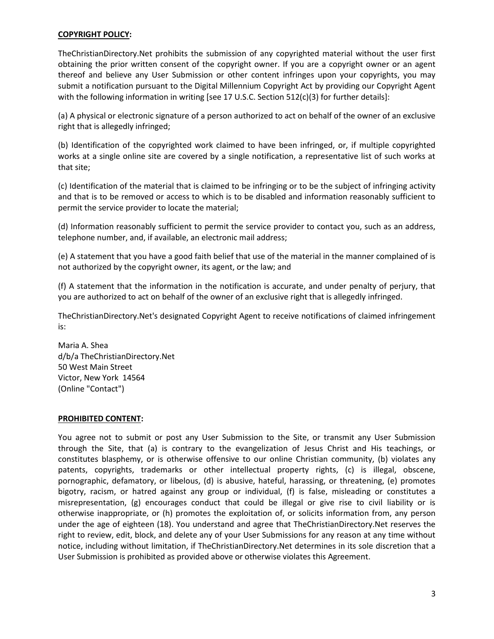### **COPYRIGHT POLICY:**

TheChristianDirectory.Net prohibits the submission of any copyrighted material without the user first obtaining the prior written consent of the copyright owner. If you are a copyright owner or an agent thereof and believe any User Submission or other content infringes upon your copyrights, you may submit a notification pursuant to the Digital Millennium Copyright Act by providing our Copyright Agent with the following information in writing [see 17 U.S.C. Section 512(c)(3) for further details]:

(a) A physical or electronic signature of a person authorized to act on behalf of the owner of an exclusive right that is allegedly infringed;

(b) Identification of the copyrighted work claimed to have been infringed, or, if multiple copyrighted works at a single online site are covered by a single notification, a representative list of such works at that site;

(c) Identification of the material that is claimed to be infringing or to be the subject of infringing activity and that is to be removed or access to which is to be disabled and information reasonably sufficient to permit the service provider to locate the material;

(d) Information reasonably sufficient to permit the service provider to contact you, such as an address, telephone number, and, if available, an electronic mail address;

(e) A statement that you have a good faith belief that use of the material in the manner complained of is not authorized by the copyright owner, its agent, or the law; and

(f) A statement that the information in the notification is accurate, and under penalty of perjury, that you are authorized to act on behalf of the owner of an exclusive right that is allegedly infringed.

TheChristianDirectory.Net's designated Copyright Agent to receive notifications of claimed infringement is:

Maria A. Shea d/b/a TheChristianDirectory.Net 50 West Main Street Victor, New York 14564 (Online "Contact")

#### **PROHIBITED CONTENT:**

You agree not to submit or post any User Submission to the Site, or transmit any User Submission through the Site, that (a) is contrary to the evangelization of Jesus Christ and His teachings, or constitutes blasphemy, or is otherwise offensive to our online Christian community, (b) violates any patents, copyrights, trademarks or other intellectual property rights, (c) is illegal, obscene, pornographic, defamatory, or libelous, (d) is abusive, hateful, harassing, or threatening, (e) promotes bigotry, racism, or hatred against any group or individual, (f) is false, misleading or constitutes a misrepresentation, (g) encourages conduct that could be illegal or give rise to civil liability or is otherwise inappropriate, or (h) promotes the exploitation of, or solicits information from, any person under the age of eighteen (18). You understand and agree that TheChristianDirectory.Net reserves the right to review, edit, block, and delete any of your User Submissions for any reason at any time without notice, including without limitation, if TheChristianDirectory.Net determines in its sole discretion that a User Submission is prohibited as provided above or otherwise violates this Agreement.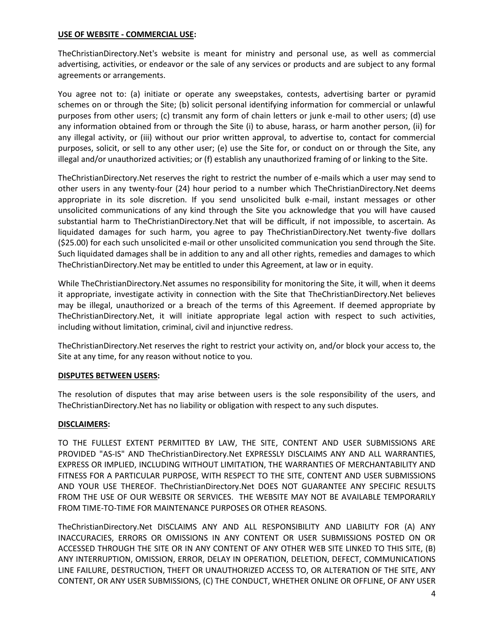#### **USE OF WEBSITE - COMMERCIAL USE:**

TheChristianDirectory.Net's website is meant for ministry and personal use, as well as commercial advertising, activities, or endeavor or the sale of any services or products and are subject to any formal agreements or arrangements.

You agree not to: (a) initiate or operate any sweepstakes, contests, advertising barter or pyramid schemes on or through the Site; (b) solicit personal identifying information for commercial or unlawful purposes from other users; (c) transmit any form of chain letters or junk e-mail to other users; (d) use any information obtained from or through the Site (i) to abuse, harass, or harm another person, (ii) for any illegal activity, or (iii) without our prior written approval, to advertise to, contact for commercial purposes, solicit, or sell to any other user; (e) use the Site for, or conduct on or through the Site, any illegal and/or unauthorized activities; or (f) establish any unauthorized framing of or linking to the Site.

TheChristianDirectory.Net reserves the right to restrict the number of e-mails which a user may send to other users in any twenty-four (24) hour period to a number which TheChristianDirectory.Net deems appropriate in its sole discretion. If you send unsolicited bulk e-mail, instant messages or other unsolicited communications of any kind through the Site you acknowledge that you will have caused substantial harm to TheChristianDirectory.Net that will be difficult, if not impossible, to ascertain. As liquidated damages for such harm, you agree to pay TheChristianDirectory.Net twenty-five dollars (\$25.00) for each such unsolicited e-mail or other unsolicited communication you send through the Site. Such liquidated damages shall be in addition to any and all other rights, remedies and damages to which TheChristianDirectory.Net may be entitled to under this Agreement, at law or in equity.

While TheChristianDirectory.Net assumes no responsibility for monitoring the Site, it will, when it deems it appropriate, investigate activity in connection with the Site that TheChristianDirectory.Net believes may be illegal, unauthorized or a breach of the terms of this Agreement. If deemed appropriate by TheChristianDirectory.Net, it will initiate appropriate legal action with respect to such activities, including without limitation, criminal, civil and injunctive redress.

TheChristianDirectory.Net reserves the right to restrict your activity on, and/or block your access to, the Site at any time, for any reason without notice to you.

### **DISPUTES BETWEEN USERS:**

The resolution of disputes that may arise between users is the sole responsibility of the users, and TheChristianDirectory.Net has no liability or obligation with respect to any such disputes.

### **DISCLAIMERS:**

TO THE FULLEST EXTENT PERMITTED BY LAW, THE SITE, CONTENT AND USER SUBMISSIONS ARE PROVIDED "AS-IS" AND TheChristianDirectory.Net EXPRESSLY DISCLAIMS ANY AND ALL WARRANTIES, EXPRESS OR IMPLIED, INCLUDING WITHOUT LIMITATION, THE WARRANTIES OF MERCHANTABILITY AND FITNESS FOR A PARTICULAR PURPOSE, WITH RESPECT TO THE SITE, CONTENT AND USER SUBMISSIONS AND YOUR USE THEREOF. TheChristianDirectory.Net DOES NOT GUARANTEE ANY SPECIFIC RESULTS FROM THE USE OF OUR WEBSITE OR SERVICES. THE WEBSITE MAY NOT BE AVAILABLE TEMPORARILY FROM TIME-TO-TIME FOR MAINTENANCE PURPOSES OR OTHER REASONS.

TheChristianDirectory.Net DISCLAIMS ANY AND ALL RESPONSIBILITY AND LIABILITY FOR (A) ANY INACCURACIES, ERRORS OR OMISSIONS IN ANY CONTENT OR USER SUBMISSIONS POSTED ON OR ACCESSED THROUGH THE SITE OR IN ANY CONTENT OF ANY OTHER WEB SITE LINKED TO THIS SITE, (B) ANY INTERRUPTION, OMISSION, ERROR, DELAY IN OPERATION, DELETION, DEFECT, COMMUNICATIONS LINE FAILURE, DESTRUCTION, THEFT OR UNAUTHORIZED ACCESS TO, OR ALTERATION OF THE SITE, ANY CONTENT, OR ANY USER SUBMISSIONS, (C) THE CONDUCT, WHETHER ONLINE OR OFFLINE, OF ANY USER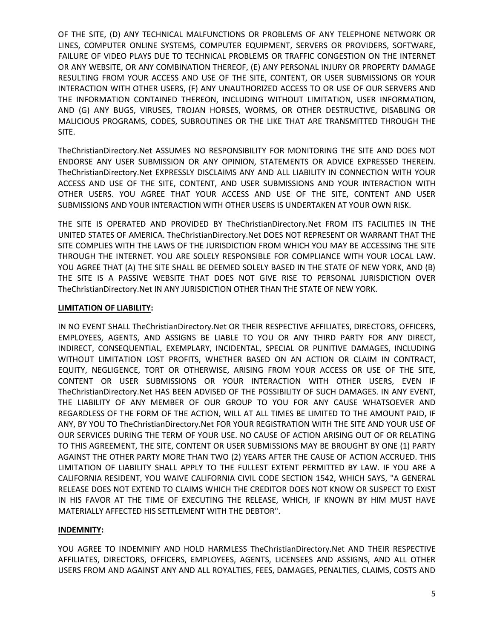OF THE SITE, (D) ANY TECHNICAL MALFUNCTIONS OR PROBLEMS OF ANY TELEPHONE NETWORK OR LINES, COMPUTER ONLINE SYSTEMS, COMPUTER EQUIPMENT, SERVERS OR PROVIDERS, SOFTWARE, FAILURE OF VIDEO PLAYS DUE TO TECHNICAL PROBLEMS OR TRAFFIC CONGESTION ON THE INTERNET OR ANY WEBSITE, OR ANY COMBINATION THEREOF, (E) ANY PERSONAL INJURY OR PROPERTY DAMAGE RESULTING FROM YOUR ACCESS AND USE OF THE SITE, CONTENT, OR USER SUBMISSIONS OR YOUR INTERACTION WITH OTHER USERS, (F) ANY UNAUTHORIZED ACCESS TO OR USE OF OUR SERVERS AND THE INFORMATION CONTAINED THEREON, INCLUDING WITHOUT LIMITATION, USER INFORMATION, AND (G) ANY BUGS, VIRUSES, TROJAN HORSES, WORMS, OR OTHER DESTRUCTIVE, DISABLING OR MALICIOUS PROGRAMS, CODES, SUBROUTINES OR THE LIKE THAT ARE TRANSMITTED THROUGH THE SITE.

TheChristianDirectory.Net ASSUMES NO RESPONSIBILITY FOR MONITORING THE SITE AND DOES NOT ENDORSE ANY USER SUBMISSION OR ANY OPINION, STATEMENTS OR ADVICE EXPRESSED THEREIN. TheChristianDirectory.Net EXPRESSLY DISCLAIMS ANY AND ALL LIABILITY IN CONNECTION WITH YOUR ACCESS AND USE OF THE SITE, CONTENT, AND USER SUBMISSIONS AND YOUR INTERACTION WITH OTHER USERS. YOU AGREE THAT YOUR ACCESS AND USE OF THE SITE, CONTENT AND USER SUBMISSIONS AND YOUR INTERACTION WITH OTHER USERS IS UNDERTAKEN AT YOUR OWN RISK.

THE SITE IS OPERATED AND PROVIDED BY TheChristianDirectory.Net FROM ITS FACILITIES IN THE UNITED STATES OF AMERICA. TheChristianDirectory.Net DOES NOT REPRESENT OR WARRANT THAT THE SITE COMPLIES WITH THE LAWS OF THE JURISDICTION FROM WHICH YOU MAY BE ACCESSING THE SITE THROUGH THE INTERNET. YOU ARE SOLELY RESPONSIBLE FOR COMPLIANCE WITH YOUR LOCAL LAW. YOU AGREE THAT (A) THE SITE SHALL BE DEEMED SOLELY BASED IN THE STATE OF NEW YORK, AND (B) THE SITE IS A PASSIVE WEBSITE THAT DOES NOT GIVE RISE TO PERSONAL JURISDICTION OVER TheChristianDirectory.Net IN ANY JURISDICTION OTHER THAN THE STATE OF NEW YORK.

## **LIMITATION OF LIABILITY:**

IN NO EVENT SHALL TheChristianDirectory.Net OR THEIR RESPECTIVE AFFILIATES, DIRECTORS, OFFICERS, EMPLOYEES, AGENTS, AND ASSIGNS BE LIABLE TO YOU OR ANY THIRD PARTY FOR ANY DIRECT, INDIRECT, CONSEQUENTIAL, EXEMPLARY, INCIDENTAL, SPECIAL OR PUNITIVE DAMAGES, INCLUDING WITHOUT LIMITATION LOST PROFITS, WHETHER BASED ON AN ACTION OR CLAIM IN CONTRACT, EQUITY, NEGLIGENCE, TORT OR OTHERWISE, ARISING FROM YOUR ACCESS OR USE OF THE SITE, CONTENT OR USER SUBMISSIONS OR YOUR INTERACTION WITH OTHER USERS, EVEN IF TheChristianDirectory.Net HAS BEEN ADVISED OF THE POSSIBILITY OF SUCH DAMAGES. IN ANY EVENT, THE LIABILITY OF ANY MEMBER OF OUR GROUP TO YOU FOR ANY CAUSE WHATSOEVER AND REGARDLESS OF THE FORM OF THE ACTION, WILL AT ALL TIMES BE LIMITED TO THE AMOUNT PAID, IF ANY, BY YOU TO TheChristianDirectory.Net FOR YOUR REGISTRATION WITH THE SITE AND YOUR USE OF OUR SERVICES DURING THE TERM OF YOUR USE. NO CAUSE OF ACTION ARISING OUT OF OR RELATING TO THIS AGREEMENT, THE SITE, CONTENT OR USER SUBMISSIONS MAY BE BROUGHT BY ONE (1) PARTY AGAINST THE OTHER PARTY MORE THAN TWO (2) YEARS AFTER THE CAUSE OF ACTION ACCRUED. THIS LIMITATION OF LIABILITY SHALL APPLY TO THE FULLEST EXTENT PERMITTED BY LAW. IF YOU ARE A CALIFORNIA RESIDENT, YOU WAIVE CALIFORNIA CIVIL CODE SECTION 1542, WHICH SAYS, "A GENERAL RELEASE DOES NOT EXTEND TO CLAIMS WHICH THE CREDITOR DOES NOT KNOW OR SUSPECT TO EXIST IN HIS FAVOR AT THE TIME OF EXECUTING THE RELEASE, WHICH, IF KNOWN BY HIM MUST HAVE MATERIALLY AFFECTED HIS SETTLEMENT WITH THE DEBTOR".

## **INDEMNITY:**

YOU AGREE TO INDEMNIFY AND HOLD HARMLESS TheChristianDirectory.Net AND THEIR RESPECTIVE AFFILIATES, DIRECTORS, OFFICERS, EMPLOYEES, AGENTS, LICENSEES AND ASSIGNS, AND ALL OTHER USERS FROM AND AGAINST ANY AND ALL ROYALTIES, FEES, DAMAGES, PENALTIES, CLAIMS, COSTS AND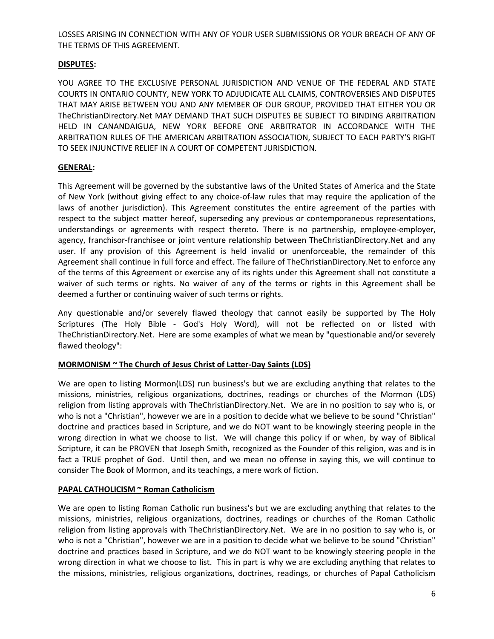LOSSES ARISING IN CONNECTION WITH ANY OF YOUR USER SUBMISSIONS OR YOUR BREACH OF ANY OF THE TERMS OF THIS AGREEMENT.

## **DISPUTES:**

YOU AGREE TO THE EXCLUSIVE PERSONAL JURISDICTION AND VENUE OF THE FEDERAL AND STATE COURTS IN ONTARIO COUNTY, NEW YORK TO ADJUDICATE ALL CLAIMS, CONTROVERSIES AND DISPUTES THAT MAY ARISE BETWEEN YOU AND ANY MEMBER OF OUR GROUP, PROVIDED THAT EITHER YOU OR TheChristianDirectory.Net MAY DEMAND THAT SUCH DISPUTES BE SUBJECT TO BINDING ARBITRATION HELD IN CANANDAIGUA, NEW YORK BEFORE ONE ARBITRATOR IN ACCORDANCE WITH THE ARBITRATION RULES OF THE AMERICAN ARBITRATION ASSOCIATION, SUBJECT TO EACH PARTY'S RIGHT TO SEEK INJUNCTIVE RELIEF IN A COURT OF COMPETENT JURISDICTION.

## **GENERAL:**

This Agreement will be governed by the substantive laws of the United States of America and the State of New York (without giving effect to any choice-of-law rules that may require the application of the laws of another jurisdiction). This Agreement constitutes the entire agreement of the parties with respect to the subject matter hereof, superseding any previous or contemporaneous representations, understandings or agreements with respect thereto. There is no partnership, employee-employer, agency, franchisor-franchisee or joint venture relationship between TheChristianDirectory.Net and any user. If any provision of this Agreement is held invalid or unenforceable, the remainder of this Agreement shall continue in full force and effect. The failure of TheChristianDirectory.Net to enforce any of the terms of this Agreement or exercise any of its rights under this Agreement shall not constitute a waiver of such terms or rights. No waiver of any of the terms or rights in this Agreement shall be deemed a further or continuing waiver of such terms or rights.

Any questionable and/or severely flawed theology that cannot easily be supported by The Holy Scriptures (The Holy Bible - God's Holy Word), will not be reflected on or listed with TheChristianDirectory.Net. Here are some examples of what we mean by "questionable and/or severely flawed theology":

## **MORMONISM ~ The Church of Jesus Christ of Latter-Day Saints (LDS)**

We are open to listing Mormon(LDS) run business's but we are excluding anything that relates to the missions, ministries, religious organizations, doctrines, readings or churches of the Mormon (LDS) religion from listing approvals with TheChristianDirectory.Net. We are in no position to say who is, or who is not a "Christian", however we are in a position to decide what we believe to be sound "Christian" doctrine and practices based in Scripture, and we do NOT want to be knowingly steering people in the wrong direction in what we choose to list. We will change this policy if or when, by way of Biblical Scripture, it can be PROVEN that Joseph Smith, recognized as the Founder of this religion, was and is in fact a TRUE prophet of God. Until then, and we mean no offense in saying this, we will continue to consider The Book of Mormon, and its teachings, a mere work of fiction.

## **PAPAL CATHOLICISM ~ Roman Catholicism**

We are open to listing Roman Catholic run business's but we are excluding anything that relates to the missions, ministries, religious organizations, doctrines, readings or churches of the Roman Catholic religion from listing approvals with TheChristianDirectory.Net. We are in no position to say who is, or who is not a "Christian", however we are in a position to decide what we believe to be sound "Christian" doctrine and practices based in Scripture, and we do NOT want to be knowingly steering people in the wrong direction in what we choose to list. This in part is why we are excluding anything that relates to the missions, ministries, religious organizations, doctrines, readings, or churches of Papal Catholicism